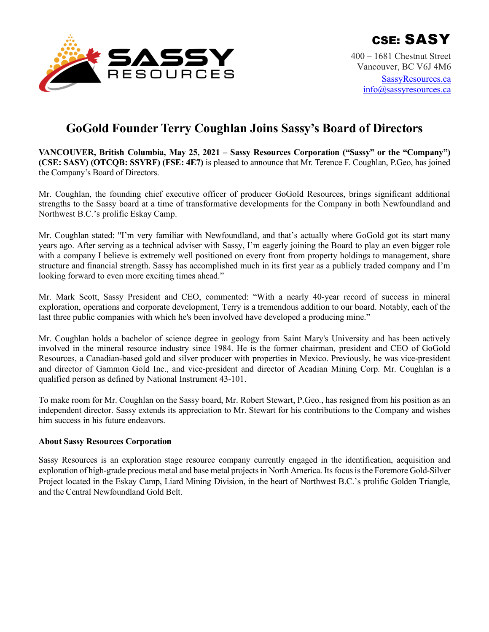

# **GoGold Founder Terry Coughlan Joins Sassy's Board of Directors**

**VANCOUVER, British Columbia, May 25, 2021 – Sassy Resources Corporation ("Sassy" or the "Company") (CSE: SASY) (OTCQB: SSYRF) (FSE: 4E7)** is pleased to announce that Mr. Terence F. Coughlan, P.Geo, has joined the Company's Board of Directors.

Mr. Coughlan, the founding chief executive officer of producer GoGold Resources, brings significant additional strengths to the Sassy board at a time of transformative developments for the Company in both Newfoundland and Northwest B.C.'s prolific Eskay Camp.

Mr. Coughlan stated: "I'm very familiar with Newfoundland, and that's actually where GoGold got its start many years ago. After serving as a technical adviser with Sassy, I'm eagerly joining the Board to play an even bigger role with a company I believe is extremely well positioned on every front from property holdings to management, share structure and financial strength. Sassy has accomplished much in its first year as a publicly traded company and I'm looking forward to even more exciting times ahead."

Mr. Mark Scott, Sassy President and CEO, commented: "With a nearly 40-year record of success in mineral exploration, operations and corporate development, Terry is a tremendous addition to our board. Notably, each of the last three public companies with which he's been involved have developed a producing mine."

Mr. Coughlan holds a bachelor of science degree in geology from Saint Mary's University and has been actively involved in the mineral resource industry since 1984. He is the former chairman, president and CEO of GoGold Resources, a Canadian-based gold and silver producer with properties in Mexico. Previously, he was vice-president and director of Gammon Gold Inc., and vice-president and director of Acadian Mining Corp. Mr. Coughlan is a qualified person as defined by National Instrument 43-101.

To make room for Mr. Coughlan on the Sassy board, Mr. Robert Stewart, P.Geo., has resigned from his position as an independent director. Sassy extends its appreciation to Mr. Stewart for his contributions to the Company and wishes him success in his future endeavors.

## **About Sassy Resources Corporation**

Sassy Resources is an exploration stage resource company currently engaged in the identification, acquisition and exploration of high-grade precious metal and base metal projects in North America. Its focus is the Foremore Gold-Silver Project located in the Eskay Camp, Liard Mining Division, in the heart of Northwest B.C.'s prolific Golden Triangle, and the Central Newfoundland Gold Belt.